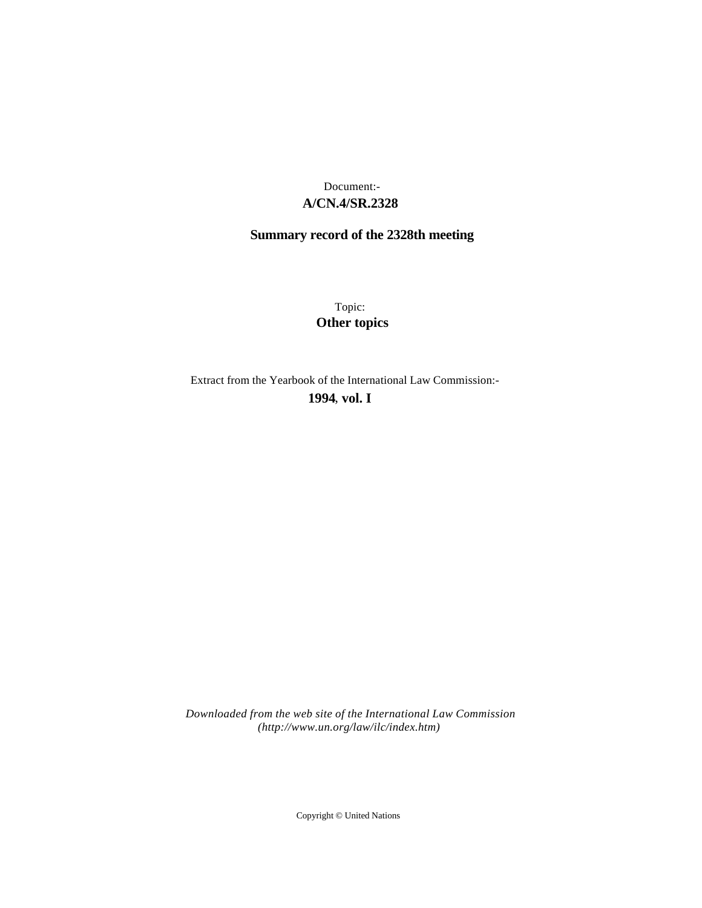## **A/CN.4/SR.2328** Document:-

# **Summary record of the 2328th meeting**

Topic: **Other topics**

Extract from the Yearbook of the International Law Commission:-

**1994** , **vol. I**

*Downloaded from the web site of the International Law Commission (http://www.un.org/law/ilc/index.htm)*

Copyright © United Nations